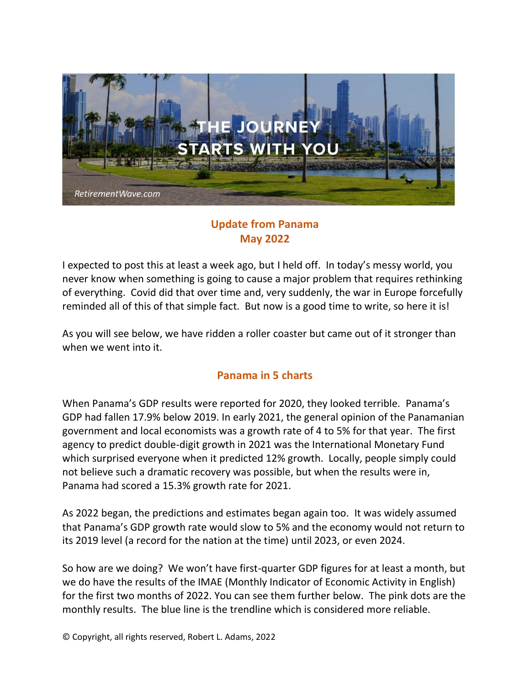

## **Update from Panama May 2022**

I expected to post this at least a week ago, but I held off. In today's messy world, you never know when something is going to cause a major problem that requires rethinking of everything. Covid did that over time and, very suddenly, the war in Europe forcefully reminded all of this of that simple fact. But now is a good time to write, so here it is!

As you will see below, we have ridden a roller coaster but came out of it stronger than when we went into it.

## **Panama in 5 charts**

When Panama's GDP results were reported for 2020, they looked terrible. Panama's GDP had fallen 17.9% below 2019. In early 2021, the general opinion of the Panamanian government and local economists was a growth rate of 4 to 5% for that year. The first agency to predict double-digit growth in 2021 was the International Monetary Fund which surprised everyone when it predicted 12% growth. Locally, people simply could not believe such a dramatic recovery was possible, but when the results were in, Panama had scored a 15.3% growth rate for 2021.

As 2022 began, the predictions and estimates began again too. It was widely assumed that Panama's GDP growth rate would slow to 5% and the economy would not return to its 2019 level (a record for the nation at the time) until 2023, or even 2024.

So how are we doing? We won't have first-quarter GDP figures for at least a month, but we do have the results of the IMAE (Monthly Indicator of Economic Activity in English) for the first two months of 2022. You can see them further below. The pink dots are the monthly results. The blue line is the trendline which is considered more reliable.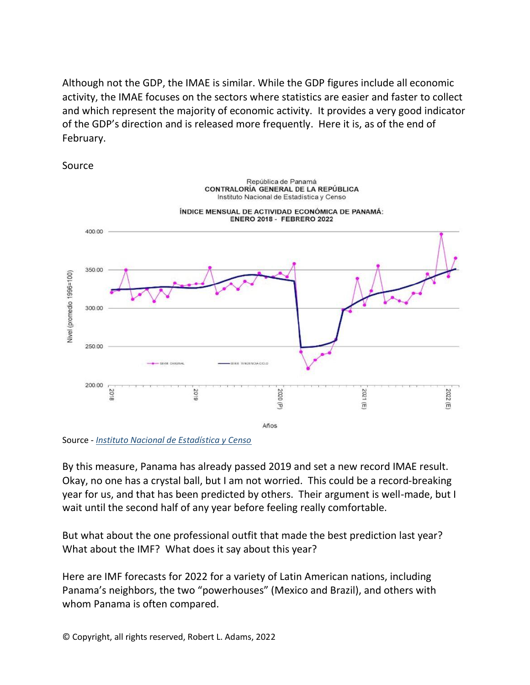Although not the GDP, the IMAE is similar. While the GDP figures include all economic activity, the IMAE focuses on the sectors where statistics are easier and faster to collect and which represent the majority of economic activity. It provides a very good indicator of the GDP's direction and is released more frequently. Here it is, as of the end of February.



Source

Source *- [Instituto Nacional de Estadística y Censo](https://www.inec.gob.pa/Default.aspx)*

By this measure, Panama has already passed 2019 and set a new record IMAE result. Okay, no one has a crystal ball, but I am not worried. This could be a record-breaking year for us, and that has been predicted by others. Their argument is well-made, but I wait until the second half of any year before feeling really comfortable.

But what about the one professional outfit that made the best prediction last year? What about the IMF? What does it say about this year?

Here are IMF forecasts for 2022 for a variety of Latin American nations, including Panama's neighbors, the two "powerhouses" (Mexico and Brazil), and others with whom Panama is often compared.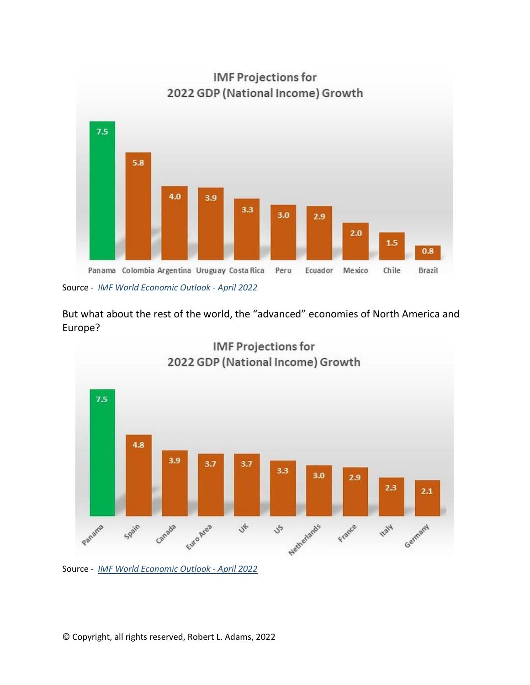

But what about the rest of the world, the "advanced" economies of North America and Europe?



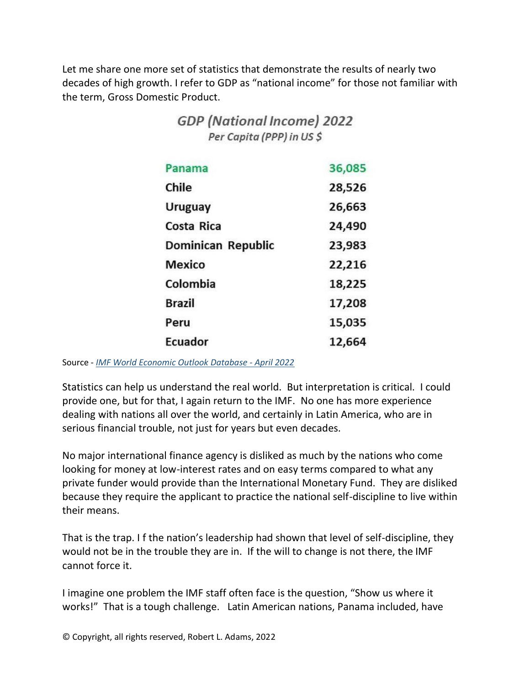Let me share one more set of statistics that demonstrate the results of nearly two decades of high growth. I refer to GDP as "national income" for those not familiar with the term, Gross Domestic Product.

**GDP** (National Income) 2022

| Per Capita (PPP) in US \$ |        |
|---------------------------|--------|
| Panama                    | 36,085 |
| Chile                     | 28,526 |
| <b>Uruguay</b>            | 26,663 |
| Costa Rica                | 24,490 |
| Dominican Republic        | 23,983 |
| <b>Mexico</b>             | 22,216 |
| Colombia                  | 18,225 |
| <b>Brazil</b>             | 17,208 |
| Peru                      | 15,035 |
| <b>Ecuador</b>            | 12,664 |

Source - *[IMF World Economic Outlook Database - April 2022](https://www.imf.org/en/Publications/WEO/weo-database/2022/April)*

Statistics can help us understand the real world. But interpretation is critical. I could provide one, but for that, I again return to the IMF. No one has more experience dealing with nations all over the world, and certainly in Latin America, who are in serious financial trouble, not just for years but even decades.

No major international finance agency is disliked as much by the nations who come looking for money at low-interest rates and on easy terms compared to what any private funder would provide than the International Monetary Fund. They are disliked because they require the applicant to practice the national self-discipline to live within their means.

That is the trap. I f the nation's leadership had shown that level of self-discipline, they would not be in the trouble they are in. If the will to change is not there, the IMF cannot force it.

I imagine one problem the IMF staff often face is the question, "Show us where it works!" That is a tough challenge. Latin American nations, Panama included, have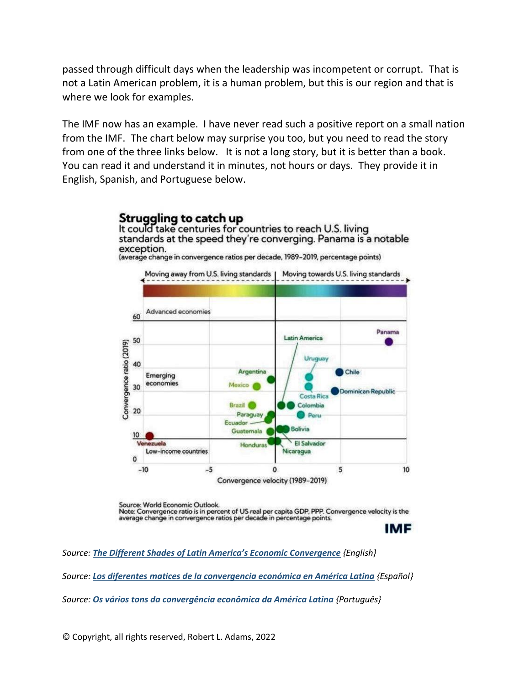passed through difficult days when the leadership was incompetent or corrupt. That is not a Latin American problem, it is a human problem, but this is our region and that is where we look for examples.

The IMF now has an example. I have never read such a positive report on a small nation from the IMF. The chart below may surprise you too, but you need to read the story from one of the three links below. It is not a long story, but it is better than a book. You can read it and understand it in minutes, not hours or days. They provide it in English, Spanish, and Portuguese below.



Source: World Economic Outlook. Note: Convergence ratio is in percent of US real per capita GDP, PPP. Convergence velocity is the average change in convergence ratios per decade in percentage points.

**IMF** 

*Source: [The Different Shades of Latin America's Economic Convergence](https://blog-dialogoafondo.imf.org/?page_id=16177) {English}* 

*Source: [Los diferentes matices de la convergencia económica en América Latina](https://blog-dialogoafondo.imf.org/?p=16213) {Español}* 

*Source: [Os vários tons da convergência econômica da América Latina](https://www.imf.org/pt/News/Articles/2021/09/30/blog-the-different-shades-of-latin-america-economic-convergence) {Português}* 

© Copyright, all rights reserved, Robert L. Adams, 2022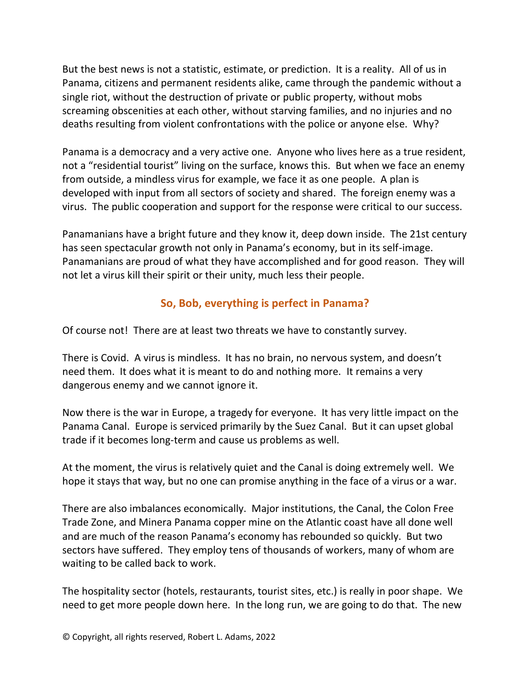But the best news is not a statistic, estimate, or prediction. It is a reality. All of us in Panama, citizens and permanent residents alike, came through the pandemic without a single riot, without the destruction of private or public property, without mobs screaming obscenities at each other, without starving families, and no injuries and no deaths resulting from violent confrontations with the police or anyone else. Why?

Panama is a democracy and a very active one. Anyone who lives here as a true resident, not a "residential tourist" living on the surface, knows this. But when we face an enemy from outside, a mindless virus for example, we face it as one people. A plan is developed with input from all sectors of society and shared. The foreign enemy was a virus. The public cooperation and support for the response were critical to our success.

Panamanians have a bright future and they know it, deep down inside.The 21st century has seen spectacular growth not only in Panama's economy, but in its self-image. Panamanians are proud of what they have accomplished and for good reason. They will not let a virus kill their spirit or their unity, much less their people.

## **So, Bob, everything is perfect in Panama?**

Of course not! There are at least two threats we have to constantly survey.

There is Covid. A virus is mindless. It has no brain, no nervous system, and doesn't need them. It does what it is meant to do and nothing more. It remains a very dangerous enemy and we cannot ignore it.

Now there is the war in Europe, a tragedy for everyone. It has very little impact on the Panama Canal. Europe is serviced primarily by the Suez Canal. But it can upset global trade if it becomes long-term and cause us problems as well.

At the moment, the virus is relatively quiet and the Canal is doing extremely well. We hope it stays that way, but no one can promise anything in the face of a virus or a war.

There are also imbalances economically. Major institutions, the Canal, the Colon Free Trade Zone, and Minera Panama copper mine on the Atlantic coast have all done well and are much of the reason Panama's economy has rebounded so quickly. But two sectors have suffered. They employ tens of thousands of workers, many of whom are waiting to be called back to work.

The hospitality sector (hotels, restaurants, tourist sites, etc.) is really in poor shape. We need to get more people down here. In the long run, we are going to do that. The new